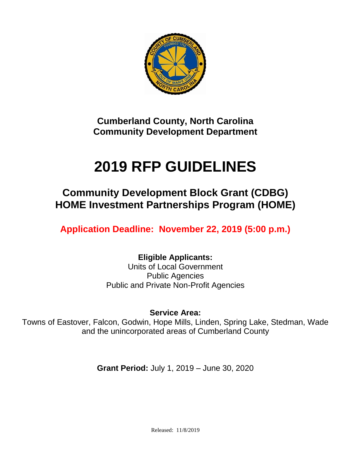

**Cumberland County, North Carolina Community Development Department**

# **2019 RFP GUIDELINES**

**Community Development Block Grant (CDBG) HOME Investment Partnerships Program (HOME)**

**Application Deadline: November 22, 2019 (5:00 p.m.)**

**Eligible Applicants:** Units of Local Government Public Agencies Public and Private Non-Profit Agencies

**Service Area:**

Towns of Eastover, Falcon, Godwin, Hope Mills, Linden, Spring Lake, Stedman, Wade and the unincorporated areas of Cumberland County

**Grant Period:** July 1, 2019 – June 30, 2020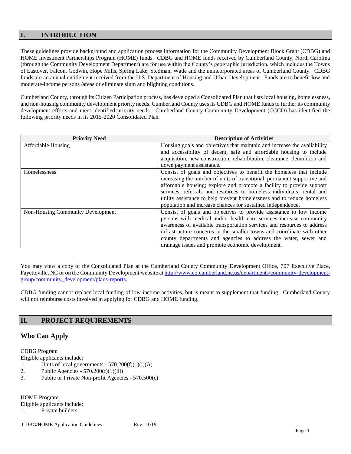# **I. INTRODUCTION**

These guidelines provide background and application process information for the Community Development Block Grant (CDBG) and HOME Investment Partnerships Program (HOME) funds. CDBG and HOME funds received by Cumberland County, North Carolina (through the Community Development Department) are for use within the County's geographic jurisdiction, which includes the Towns of Eastover, Falcon, Godwin, Hope Mills, Spring Lake, Stedman, Wade and the unincorporated areas of Cumberland County. CDBG funds are an annual entitlement received from the U.S. Department of Housing and Urban Development. Funds are to benefit low and moderate-income persons /areas or eliminate slum and blighting conditions.

Cumberland County, through its Citizen Participation process, has developed a Consolidated Plan that lists local housing, homelessness, and non-housing community development priority needs. Cumberland County uses its CDBG and HOME funds to further its community development efforts and meet identified priority needs. Cumberland County Community Development (CCCD) has identified the following priority needs in its 2015-2020 Consolidated Plan.

| <b>Priority Need</b>              | <b>Description of Activities</b>                                         |
|-----------------------------------|--------------------------------------------------------------------------|
| <b>Affordable Housing</b>         | Housing goals and objectives that maintain and increase the availability |
|                                   | and accessibility of decent, safe and affordable housing to include      |
|                                   | acquisition, new construction, rehabilitation, clearance, demolition and |
|                                   | down payment assistance.                                                 |
| Homelessness                      | Consist of goals and objectives to benefit the homeless that include     |
|                                   | increasing the number of units of transitional, permanent supportive and |
|                                   | affordable housing; explore and promote a facility to provide support    |
|                                   | services, referrals and resources to homeless individuals; rental and    |
|                                   | utility assistance to help prevent homelessness and to reduce homeless   |
|                                   | population and increase chances for sustained independence.              |
| Non-Housing Community Development | Consist of goals and objectives to provide assistance to low income      |
|                                   | persons with medical and/or health care services increase community      |
|                                   | awareness of available transportation services and resources to address  |
|                                   | infrastructure concerns in the smaller towns and coordinate with other   |
|                                   | county departments and agencies to address the water, sewer and          |
|                                   | drainage issues and promote economic development.                        |

You may view a copy of the Consolidated Plan at the Cumberland County Community Development Office, 707 Executive Place, Fayetteville, NC or on the Community Development website a[t http://www.co.cumberland.nc.us/departments/community-development](http://www.co.cumberland.nc.us/departments/community-development-group/community_development/plans-reports)[group/community\\_development/plans-reports.](http://www.co.cumberland.nc.us/departments/community-development-group/community_development/plans-reports)

CDBG funding cannot replace local funding of low-income activities, but is meant to supplement that funding. Cumberland County will not reimburse costs involved in applying for CDBG and HOME funding.

# **II. PROJECT REQUIREMENTS**

# **Who Can Apply**

## CDBG Program

Eligible applicants include:

- 1. Units of local governments  $570.200(f)(1)(i)(A)$
- 2. Public Agencies  $570.200(f)(1)(iii)$
- 3. Public or Private Non-profit Agencies 570.500(c)

HOME Program

Eligible applicants include:

1. Private builders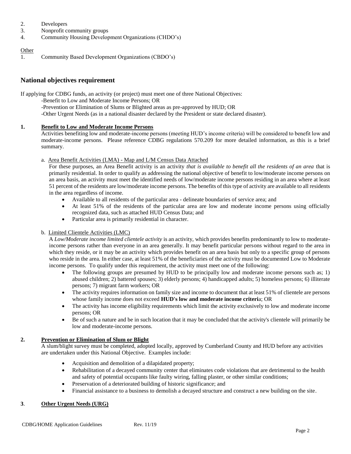- 2. Developers
- 3. Nonprofit community groups
- 4. Community Housing Development Organizations (CHDO's)

## **Other**

1. Community Based Development Organizations (CBDO's)

# **National objectives requirement**

If applying for CDBG funds, an activity (or project) must meet one of three National Objectives:

- -Benefit to Low and Moderate Income Persons; OR
	- -Prevention or Elimination of Slums or Blighted areas as pre-approved by HUD; OR
	- -Other Urgent Needs (as in a national disaster declared by the President or state declared disaster).

## **1. Benefit to Low and Moderate Income Persons**

Activities benefiting low and moderate-income persons (meeting HUD's income criteria) will be considered to benefit low and moderate-income persons. Please reference CDBG regulations 570.209 for more detailed information, as this is a brief summary.

## a. Area Benefit Activities (LMA) - Map and L/M Census Data Attached

For these purposes, an Area Benefit activity is an activity *that is available to benefit all the residents of an area* that is primarily residential. In order to qualify as addressing the national objective of benefit to low/moderate income persons on an area basis, an activity must meet the identified needs of low/moderate income persons residing in an area where at least 51 percent of the residents are low/moderate income persons. The benefits of this type of activity are available to all residents in the area regardless of income.

- Available to all residents of the particular area delineate boundaries of service area; and
- At least 51% of the residents of the particular area are low and moderate income persons using officially recognized data, such as attached HUD Census Data; and
- Particular area is primarily residential in character.

# b. Limited Clientele Activities (LMC)

A *Low/Moderate income limited clientele activity* is an activity, which provides benefits predominantly to low to moderateincome persons rather than everyone in an area generally. It may benefit particular persons without regard to the area in which they reside, or it may be an activity which provides benefit on an area basis but only to a specific group of persons who reside in the area. In either case, at least 51% of the beneficiaries of the activity must be documented Low to Moderate income persons. To qualify under this requirement, the activity must meet one of the following:

- The following groups are presumed by HUD to be principally low and moderate income persons such as; 1) abused children; 2) battered spouses; 3) elderly persons; 4) handicapped adults; 5) homeless persons; 6) illiterate persons; 7) migrant farm workers; OR
- The activity requires information on family size and income to document that at least 51% of clientele are persons whose family income does not exceed **HUD's low and moderate income criteri**a; OR
- The activity has income eligibility requirements which limit the activity exclusively to low and moderate income persons; OR
- Be of such a nature and be in such location that it may be concluded that the activity's clientele will primarily be low and moderate-income persons.

# **2. Prevention or Elimination of Slum or Blight**

A slum/blight survey must be completed, adopted locally, approved by Cumberland County and HUD before any activities are undertaken under this National Objective. Examples include:

- Acquisition and demolition of a dilapidated property;
- Rehabilitation of a decayed community center that eliminates code violations that are detrimental to the health and safety of potential occupants like faulty wiring, falling plaster, or other similar conditions;
- Preservation of a deteriorated building of historic significance; and
- Financial assistance to a business to demolish a decayed structure and construct a new building on the site.

# **3**. **Other Urgent Needs (URG)**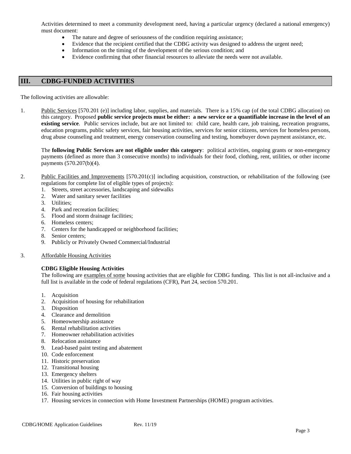Activities determined to meet a community development need, having a particular urgency (declared a national emergency) must document:

- The nature and degree of seriousness of the condition requiring assistance;
- Evidence that the recipient certified that the CDBG activity was designed to address the urgent need;
- Information on the timing of the development of the serious condition; and
- Evidence confirming that other financial resources to alleviate the needs were not available.

## **III. CDBG-FUNDED ACTIVITIES**

The following activities are allowable:

1. Public Services [570.201 (e)] including labor, supplies, and materials. There is a 15% cap (of the total CDBG allocation) on this category. Proposed **public service projects must be either: a new service or a quantifiable increase in the level of an existing service**. Public services include, but are not limited to: child care, health care, job training, recreation programs, education programs, public safety services, fair housing activities, services for senior citizens, services for homeless persons, drug abuse counseling and treatment, energy conservation counseling and testing, homebuyer down payment assistance, etc.

The **following Public Services are not eligible under this category**: political activities, ongoing grants or non-emergency payments (defined as more than 3 consecutive months) to individuals for their food, clothing, rent, utilities, or other income payments (570.207(b)(4).

- 2. Public Facilities and Improvements [570.201(c)] including acquisition, construction, or rehabilitation of the following (see regulations for complete list of eligible types of projects):
	- 1. Streets, street accessories, landscaping and sidewalks
	- 2. Water and sanitary sewer facilities
	- 3. Utilities;
	- 4. Park and recreation facilities;
	- 5. Flood and storm drainage facilities;
	- 6. Homeless centers;
	- 7. Centers for the handicapped or neighborhood facilities;
	- 8. Senior centers;
	- 9. Publicly or Privately Owned Commercial/Industrial
- 3. Affordable Housing Activities

## **CDBG Eligible Housing Activities**

The following are examples of some housing activities that are eligible for CDBG funding. This list is not all-inclusive and a full list is available in the code of federal regulations (CFR), Part 24, section 570.201.

- 1. Acquisition
- 2. Acquisition of housing for rehabilitation
- 3. Disposition
- 4. Clearance and demolition
- 5. Homeownership assistance
- 6. Rental rehabilitation activities
- 7. Homeowner rehabilitation activities
- 8. Relocation assistance
- 9. Lead-based paint testing and abatement
- 10. Code enforcement
- 11. Historic preservation
- 12. Transitional housing
- 13. Emergency shelters
- 14. Utilities in public right of way
- 15. Conversion of buildings to housing
- 16. Fair housing activities
- 17. Housing services in connection with Home Investment Partnerships (HOME) program activities.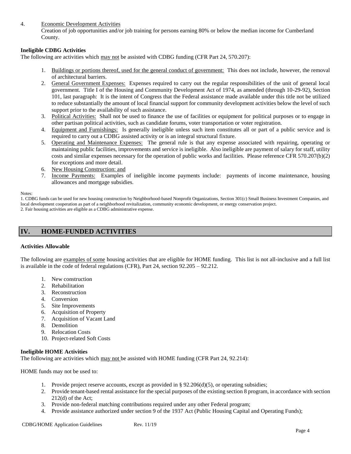## 4. Economic Development Activities

Creation of job opportunities and/or job training for persons earning 80% or below the median income for Cumberland County.

## **Ineligible CDBG Activities**

The following are activities which may not be assisted with CDBG funding (CFR Part 24, 570.207):

- 1. Buildings or portions thereof, used for the general conduct of government: This does not include, however, the removal of architectural barriers.
- 2. General Government Expenses: Expenses required to carry out the regular responsibilities of the unit of general local government. Title I of the Housing and Community Development Act of 1974, as amended (through 10-29-92), Section 101, last paragraph: It is the intent of Congress that the Federal assistance made available under this title not be utilized to reduce substantially the amount of local financial support for community development activities below the level of such support prior to the availability of such assistance.
- 3. Political Activities: Shall not be used to finance the use of facilities or equipment for political purposes or to engage in other partisan political activities, such as candidate forums, voter transportation or voter registration.
- 4. Equipment and Furnishings: Is generally ineligible unless such item constitutes all or part of a public service and is required to carry out a CDBG assisted activity or is an integral structural fixture.
- 5. Operating and Maintenance Expenses: The general rule is that any expense associated with repairing, operating or maintaining public facilities, improvements and service is ineligible. Also ineligible are payment of salary for staff, utility costs and similar expenses necessary for the operation of public works and facilities. Please reference CFR 570.207(b)(2) for exceptions and more detail.
- 6. New Housing Construction: and
- 7. Income Payments: Examples of ineligible income payments include: payments of income maintenance, housing allowances and mortgage subsidies.

#### Notes:

1. CDBG funds can be used for new housing construction by Neighborhood-based Nonprofit Organizations, Section 301(c) Small Business Investment Companies, and local development cooperation as part of a neighborhood revitalization, community economic development, or energy conservation project. 2. Fair housing activities are eligible as a CDBG administrative expense.

# **IV. HOME-FUNDED ACTIVITIES**

## **Activities Allowable**

The following are examples of some housing activities that are eligible for HOME funding. This list is not all-inclusive and a full list is available in the code of federal regulations (CFR), Part 24, section 92.205 – 92.212.

- 1. New construction
- 2. Rehabilitation
- 3. Reconstruction
- 4. Conversion
- 5. Site Improvements
- 6. Acquisition of Property
- 7. Acquisition of Vacant Land
- 8. Demolition
- 9. Relocation Costs
- 10. Project-related Soft Costs

#### **Ineligible HOME Activities**

The following are activities which may not be assisted with HOME funding (CFR Part 24, 92.214):

HOME funds may not be used to:

- 1. Provide project reserve accounts, except as provided in §  $92.206(d)(5)$ , or operating subsidies;
- 2. Provide tenant-based rental assistance for the special purposes of the existing section 8 program, in accordance with section 212(d) of the Act;
- 3. Provide non-federal matching contributions required under any other Federal program;
- 4. Provide assistance authorized under section 9 of the 1937 Act (Public Housing Capital and Operating Funds);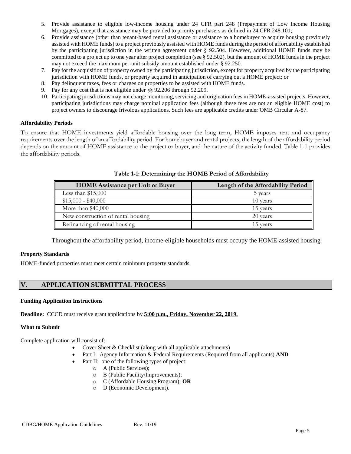- 5. Provide assistance to eligible low-income housing under 24 CFR part 248 (Prepayment of Low Income Housing Mortgages), except that assistance may be provided to priority purchasers as defined in 24 CFR 248.101;
- 6. Provide assistance (other than tenant-based rental assistance or assistance to a homebuyer to acquire housing previously assisted with HOME funds) to a project previously assisted with HOME funds during the period of affordability established by the participating jurisdiction in the written agreement under § 92.504. However, additional HOME funds may be committed to a project up to one year after project completion (see § 92.502), but the amount of HOME funds in the project may not exceed the maximum per-unit subsidy amount established under § 92.250.
- 7. Pay for the acquisition of property owned by the participating jurisdiction, except for property acquired by the participating jurisdiction with HOME funds, or property acquired in anticipation of carrying out a HOME project; or
- 8. Pay delinquent taxes, fees or charges on properties to be assisted with HOME funds.
- 9. Pay for any cost that is not eligible under §§ 92.206 through 92.209.
- 10. Participating jurisdictions may not charge monitoring, servicing and origination fees in HOME-assisted projects. However, participating jurisdictions may charge nominal application fees (although these fees are not an eligible HOME cost) to project owners to discourage frivolous applications. Such fees are applicable credits under OMB Circular A-87.

## **Affordability Periods**

To ensure that HOME investments yield affordable housing over the long term, HOME imposes rent and occupancy requirements over the length of an affordability period. For homebuyer and rental projects, the length of the affordability period depends on the amount of HOME assistance to the project or buyer, and the nature of the activity funded. Table 1-1 provides the affordability periods.

| <b>HOME</b> Assistance per Unit or Buyer | Length of the Affordability Period |
|------------------------------------------|------------------------------------|
| Less than $$15,000$                      | 5 years                            |
| $$15,000 - $40,000$                      | 10 years                           |
| More than $$40,000$                      | 15 years                           |
| New construction of rental housing       | 20 years                           |
| Refinancing of rental housing            | 15 years                           |

## **Table 1-1: Determining the HOME Period of Affordability**

Throughout the affordability period, income-eligible households must occupy the HOME-assisted housing.

## **Property Standards**

HOME-funded properties must meet certain minimum property standards.

# **V. APPLICATION SUBMITTAL PROCESS**

#### **Funding Application Instructions**

**Deadline:** CCCD must receive grant applications by **5:00 p.m., Friday, November 22, 2019.**

## **What to Submit**

Complete application will consist of:

- Cover Sheet & Checklist (along with all applicable attachments)
- Part I: Agency Information & Federal Requirements (Required from all applicants) **AND**
- Part II: one of the following types of project:
	- o A (Public Services);
	- o B (Public Facility/Improvements);
	- o C (Affordable Housing Program); **OR**
	- o D (Economic Development).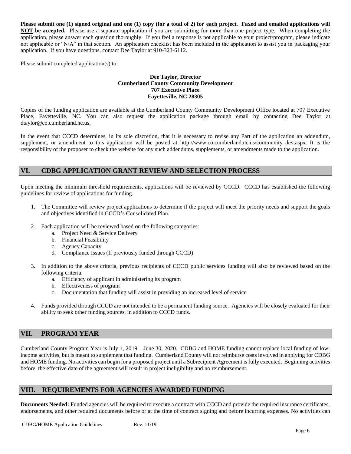**Please submit one (1) signed original and one (1) copy (for a total of 2) for each project**. **Faxed and emailed applications will NOT be accepted.** Please use a separate application if you are submitting for more than one project type. When completing the application, please answer each question thoroughly. If you feel a response is not applicable to your project/program, please indicate not applicable or "N/A" in that section. An application checklist has been included in the application to assist you in packaging your application. If you have questions, contact Dee Taylor at 910-323-6112.

Please submit completed application(s) to:

## **Dee Taylor, Director Cumberland County Community Development 707 Executive Place Fayetteville, NC 28305**

Copies of the funding application are available at the Cumberland County Community Development Office located at 707 Executive Place, Fayetteville, NC. You can also request the application package through email by contacting Dee Taylor at dtaylor@co.cumberland.nc.us.

In the event that CCCD determines, in its sole discretion, that it is necessary to revise any Part of the application an addendum, supplement, or amendment to this application will be posted at http://www.co.cumberland.nc.us/community\_dev.aspx. It is the responsibility of the proposer to check the website for any such addendums, supplements, or amendments made to the application.

# **VI. CDBG APPLICATION GRANT REVIEW AND SELECTION PROCESS**

Upon meeting the minimum threshold requirements, applications will be reviewed by CCCD. CCCD has established the following guidelines for review of applications for funding.

- 1. The Committee will review project applications to determine if the project will meet the priority needs and support the goals and objectives identified in CCCD's Consolidated Plan.
- 2. Each application will be reviewed based on the following categories:
	- a. Project Need & Service Delivery
	- b. Financial Feasibility
	- c. Agency Capacity
	- d. Compliance Issues (If previously funded through CCCD)
- 3. In addition to the above criteria, previous recipients of CCCD public services funding will also be reviewed based on the following criteria.
	- a. Efficiency of applicant in administering its program
	- b. Effectiveness of program
	- c. Documentation that funding will assist in providing an increased level of service
- 4. Funds provided through CCCD are not intended to be a permanent funding source. Agencies will be closely evaluated for their ability to seek other funding sources, in addition to CCCD funds.

# **VII. PROGRAM YEAR**

Cumberland County Program Year is July 1, 2019 – June 30, 2020. CDBG and HOME funding cannot replace local funding of lowincome activities, but is meant to supplement that funding. Cumberland County will not reimburse costs involved in applying for CDBG and HOME funding. No activities can begin for a proposed project until a Subrecipient Agreement is fully executed. Beginning activities before the effective date of the agreement will result in project ineligibility and no reimbursement.

# **VIII. REQUIREMENTS FOR AGENCIES AWARDED FUNDING**

**Documents Needed:** Funded agencies will be required to execute a contract with CCCD and provide the required insurance certificates, endorsements, and other required documents before or at the time of contract signing and before incurring expenses. No activities can

CDBG/HOME Application Guidelines Rev. 11/19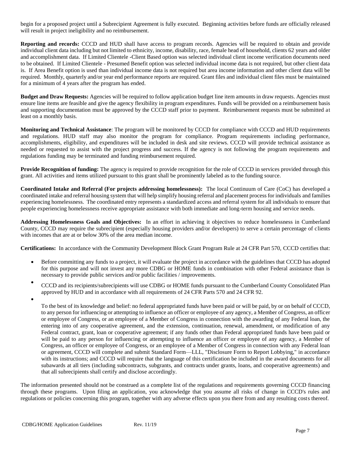begin for a proposed project until a Subrecipient Agreement is fully executed. Beginning activities before funds are officially released will result in project ineligibility and no reimbursement.

**Reporting and records:** CCCD and HUD shall have access to program records. Agencies will be required to obtain and provide individual client data including but not limited to ethnicity, income, disability, race, female head of household, clients 62 years and older and accomplishment data. If Limited Clientele -Client Based option was selected individual client income verification documents need to be obtained. If Limited Clientele - Presumed Benefit option was selected individual income data is not required, but other client data is. If Area Benefit option is used than individual income data is not required but area income information and other client data will be required. Monthly, quarterly and/or year end performance reports are required. Grant files and individual client files must be maintained for a minimum of 4 years after the program has ended.

**Budget and Draw Requests:** Agencies will be required to follow application budget line item amounts in draw requests. Agencies must ensure line items are feasible and give the agency flexibility in program expenditures. Funds will be provided on a reimbursement basis and supporting documentation must be approved by the CCCD staff prior to payment. Reimbursement requests must be submitted at least on a monthly basis.

**Monitoring and Technical Assistance**: The program will be monitored by CCCD for compliance with CCCD and HUD requirements and regulations. HUD staff may also monitor the program for compliance. Program requirements including performance, accomplishments, eligibility, and expenditures will be included in desk and site reviews. CCCD will provide technical assistance as needed or requested to assist with the project progress and success. If the agency is not following the program requirements and regulations funding may be terminated and funding reimbursement required.

**Provide Recognition of funding:** The agency is required to provide recognition for the role of CCCD in services provided through this grant. All activities and items utilized pursuant to this grant shall be prominently labeled as to the funding source.

**Coordinated Intake and Referral (For projects addressing homelessness):** The local Continuum of Care (CoC) has developed a coordinated intake and referral housing system that will help simplify housing referral and placement process for individuals and families experiencing homelessness. The coordinated entry represents a standardized access and referral system for all individuals to ensure that people experiencing homelessness receive appropriate assistance with both immediate and long-term housing and service needs.

**Addressing Homelessness Goals and Objectives:** In an effort in achieving it objectives to reduce homelessness in Cumberland County, CCCD may require the subrecipient (especially housing providers and/or developers) to serve a certain percentage of clients with incomes that are at or below 30% of the area median income.

**Certifications:** In accordance with the Community Development Block Grant Program Rule at 24 CFR Part 570, CCCD certifies that:

- Before committing any funds to a project, it will evaluate the project in accordance with the guidelines that CCCD has adopted for this purpose and will not invest any more CDBG or HOME funds in combination with other Federal assistance than is necessary to provide public services and/or public facilities / improvements.
- CCCD and its recipients/subrecipients will use CDBG or HOME funds pursuant to the Cumberland County Consolidated Plan approved by HUD and in accordance with all requirements of 24 CFR Parts 570 and 24 CFR 92.
- •

To the best of its knowledge and belief: no federal appropriated funds have been paid or will be paid, by or on behalf of CCCD, to any person for influencing or attempting to influence an officer or employee of any agency, a Member of Congress, an officer or employee of Congress, or an employee of a Member of Congress in connection with the awarding of any Federal loan, the entering into of any cooperative agreement, and the extension, continuation, renewal, amendment, or modification of any Federal contract, grant, loan or cooperative agreement; if any funds other than Federal appropriated funds have been paid or will be paid to any person for influencing or attempting to influence an officer or employee of any agency, a Member of Congress, an officer or employee of Congress, or an employee of a Member of Congress in connection with any Federal loan or agreement, CCCD will complete and submit Standard Form—LLL, "Disclosure Form to Report Lobbying," in accordance with its instructions; and CCCD will require that the language of this certification be included in the award documents for all subawards at all tiers (including subcontracts, subgrants, and contracts under grants, loans, and cooperative agreements) and that all subrecipients shall certify and disclose accordingly.

The information presented should not be construed as a complete list of the regulations and requirements governing CCCD financing through these programs. Upon filing an application, you acknowledge that you assume all risks of change in CCCD's rules and regulations or policies concerning this program, together with any adverse effects upon you there from and any resulting costs thereof.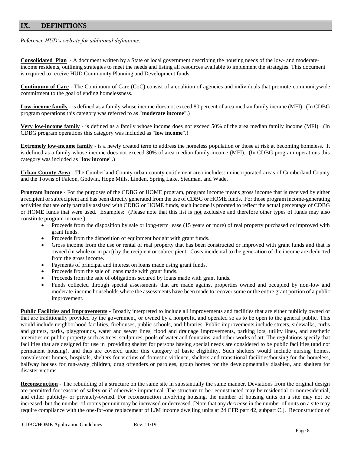# **IX. DEFINITIONS**

*Reference HUD's website for additional definitions.*

**Consolidated Plan -** A document written by a State or local government describing the housing needs of the low- and moderateincome residents, outlining strategies to meet the needs and listing all resources available to implement the strategies. This document is required to receive HUD Community Planning and Development funds.

**Continuum of Care** - The Continuum of Care (CoC) consist of a coalition of agencies and individuals that promote communitywide commitment to the goal of ending homelessness.

**Low-income family** - is defined as a family whose income does not exceed 80 percent of area median family income (MFI). (In CDBG program operations this category was referred to as "**moderate income**".)

**Very low-income family** - is defined as a family whose income does not exceed 50% of the area median family income (MFI). (In CDBG program operations this category was included as "**low income**".)

**Extremely low-income family** - is a newly created term to address the homeless population or those at risk at becoming homeless. It is defined as a family whose income does not exceed 30% of area median family income (MFI). (In CDBG program operations this category was included as "**low income**".)

**Urban County Area** - The Cumberland County urban county entitlement area includes: unincorporated areas of Cumberland County and the Towns of Falcon, Godwin, Hope Mills, Linden, Spring Lake, Stedman, and Wade.

**Program Income** - For the purposes of the CDBG or HOME program, program income means gross income that is received by either a recipient or subrecipient and has been directly generated from the use of CDBG or HOME funds. For those program income-generating activities that are only partially assisted with CDBG or HOME funds, such income is prorated to reflect the actual percentage of CDBG or HOME funds that were used. Examples: (Please note that this list is not exclusive and therefore other types of funds may also constitute program income.)

- Proceeds from the disposition by sale or long-term lease (15 years or more) of real property purchased or improved with grant funds.
- Proceeds from the disposition of equipment bought with grant funds.
- Gross income from the use or rental of real property that has been constructed or improved with grant funds and that is owned (in whole or in part) by the recipient or subrecipient. Costs incidental to the generation of the income are deducted from the gross income.
- Payments of principal and interest on loans made using grant funds.
- Proceeds from the sale of loans made with grant funds.
- Proceeds from the sale of obligations secured by loans made with grant funds.
- Funds collected through special assessments that are made against properties owned and occupied by non-low and moderate-income households where the assessments have been made to recover some or the entire grant portion of a public improvement.

**Public Facilities and Improvements** - Broadly interpreted to include all improvements and facilities that are either publicly owned or that are traditionally provided by the government, or owned by a nonprofit, and operated so as to be open to the general public. This would include neighborhood facilities, firehouses, public schools, and libraries. Public improvements include streets, sidewalks, curbs and gutters, parks, playgrounds, water and sewer lines, flood and drainage improvements, parking lots, utility lines, and aesthetic amenities on public property such as trees, sculptures, pools of water and fountains, and other works of art. The regulations specify that facilities that are designed for use in providing shelter for persons having special needs are considered to be public facilities (and not permanent housing), and thus are covered under this category of basic eligibility. Such shelters would include nursing homes, convalescent homes, hospitals, shelters for victims of domestic violence, shelters and transitional facilities/housing for the homeless, halfway houses for run-away children, drug offenders or parolees, group homes for the developmentally disabled, and shelters for disaster victims.

**Reconstruction** - The rebuilding of a structure on the same site in substantially the same manner. Deviations from the original design are permitted for reasons of safety or if otherwise impractical. The structure to be reconstructed may be residential or nonresidential, and either publicly- or privately-owned. For reconstruction involving housing, the number of housing units on a site may not be increased, but the number of rooms per unit may be increased or decreased. [Note that any *decrease* in the number of units on a site may require compliance with the one-for-one replacement of L/M income dwelling units at 24 CFR part 42, subpart C.]. Reconstruction of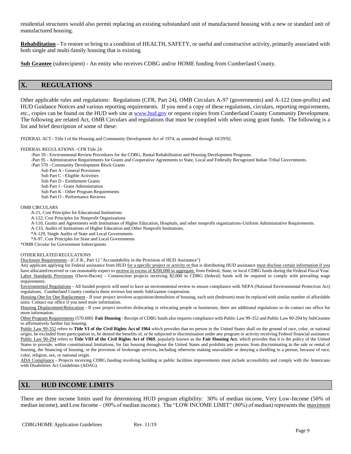residential structures would also permit replacing an existing substandard unit of manufactured housing with a new or standard unit of manufactured housing.

**Rehabilitation** - To restore or bring to a condition of HEALTH, SAFETY, or useful and constructive activity, primarily associated with both single and multi-family housing that is existing.

**Sub Grantee** (subrecipient) - An entity who receives CDBG and/or HOME funding from Cumberland County.

# **X. REGULATIONS**

Other applicable rules and regulations: Regulations (CFR, Part 24), OMB Circulars A-97 (governments) and A-122 (non-profits) and HUD Guidance Notices and various reporting requirements. If you need a copy of these regulations, circulars, reporting requirements, etc., copies can be found on the HUD web site at [www.hud.gov](http://www.hud.gov/) or request copies from Cumberland County Community Development. The following are related Act, OMB Circulars and regulations that must be complied with when using grant funds. The following is a list and brief description of some of these:

FEDERAL ACT **-** Title I of the Housing and Community Development Act of 1974, as amended through 10/29/92.

#### FEDERAL REGULATIONS - CFR Title 24

-Part 59 - Environmental Review Procedures for the CDBG, Rental Rehabilitation and Housing Development Programs.

-Part 95 - Administrative Requirements for Grants and Cooperative Agreements to State, Local and Federally Recognized Indian Tribal Governments.

- -Part 570 Community Development Block Grants
	- Sub Part A General Provisions
	- Sub Part C Eligible Activities
	- Sub Part D Entitlement Grants
	- Sub Part J Grant Administration
	- Sub Part K Other Program Requirements
	- Sub Part O Performance Reviews

#### OMB CIRCULARS

A-21, Cost Principles for Educational Institutions

- A-122, Cost Principles for Nonprofit Organizations
- A-110, Grants and Agreements with Institutions of Higher Education, Hospitals, and other nonprofit organizations-Uniform Administrative Requirements.
- A-133, Audits of Institutions of Higher Education and Other Nonprofit Institutions.
- \*A-129, Single Audits of State and Local Governments

\*A-97, Cost Principles for State and Local Governments \*OMB Circular for Government Subrecipients

OTHER RELATED REGULATIONS

Disclosure Requirements - (C.F.R., Part 12 "Accountability in the Provision of HUD Assistance")

Any applicant applying for Federal assistance from HUD for a specific project or activity or that is distributing HUD assistance must disclose certain information if you have allocated/received or can reasonably expect to receive in excess of \$200,000 in aggregate, from Federal, State, or local CDBG funds during the Federal Fiscal Year. Labor Standards Provisions (Davis-Bacon) - Construction projects receiving \$2,000 in CDBG (federal) funds will be required to comply with prevailing wage requirements.

Environmental Regulations - All funded projects will need to have an environmental review to ensure compliance with NEPA (National Environmental Protection Act) regulations. Cumberland County conducts these reviews but needs SubGrantee cooperation.

Housing One for One Replacement - If your project involves acquisition/demolition of housing, each unit (bedroom) must be replaced with similar number of affordable units. Contact our office if you need more information.

Housing Displacement/Relocation - If your project involves dislocating or relocating people or businesses, there are additional regulations so do contact our office for more information.

Other Program Requirements (570.600) **Fair Housing -** Receipt of CDBG funds also requires compliance with Public Law 99-352 and Public Law 90-294 by SubGrantee to affirmatively further fair housing.

Public Law 99-352 refers to **Title VI of the Civil Rights Act of 1964** which provides that no person in the United States shall on the ground of race, color, or national origin, be excluded from participation in, be denied the benefits of, or be subjected to discrimination under any program or activity receiving Federal financial assistance. Public Law 90-294 refers to **Title VIII of the Civil Rights Act of 1969**, popularly known as the **Fair Housing Act**, which provides that it is the policy of the United States to provide, within constitutional limitations, for fair housing throughout the United States and prohibits any persons from discriminating in the sale or rental of housing, the financing of housing, or the provision of brokerage services, including otherwise making unavailable or denying a dwelling to a person, because of race, color, religion, sex, or national origin.

ADA Compliance - Projects receiving CDBG funding involving building or public facilities improvements must include accessibility and comply with the Americans with Disabilities Act Guidelines (ADAG).

# **XI. HUD INCOME LIMITS**

There are three income limits used for determining HUD program eligibility: 30% of median income, Very Low-Income (50% of median income), and Low Income – (80% of median income). The "LOW INCOME LIMIT" (80%) of median) represents the maximum